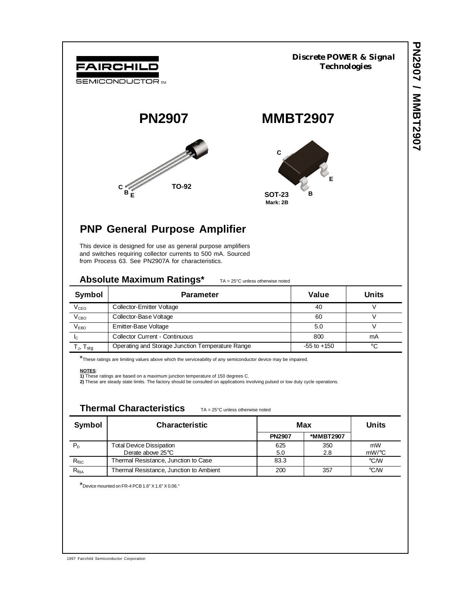

*Discrete POWER & Signal Technologies*



## **PNP General Purpose Amplifier**

This device is designed for use as general purpose amplifiers and switches requiring collector currents to 500 mA. Sourced from Process 63. See PN2907A for characteristics.

### Absolute Maximum Ratings\* TA = 25°C unless otherwise noted

| <b>Symbol</b>       | <b>Parameter</b>                                 | Value           | Units |
|---------------------|--------------------------------------------------|-----------------|-------|
| V <sub>CEO</sub>    | Collector-Emitter Voltage                        | 40              |       |
| V <sub>CBO</sub>    | Collector-Base Voltage                           | 60              |       |
| V <sub>EBO</sub>    | Emitter-Base Voltage                             | 5.0             |       |
| I <sub>C</sub>      | <b>Collector Current - Continuous</b>            | 800             | mA    |
| $T_{J}$ , $T_{sta}$ | Operating and Storage Junction Temperature Range | $-55$ to $+150$ | °C    |

\*These ratings are limiting values above which the serviceability of any semiconductor device may be impaired.

**NOTES**: **1)** These ratings are based on a maximum junction temperature of 150 degrees C.

**2)** These are steady state limits. The factory should be consulted on applications involving pulsed or low duty cycle operations.

### **Thermal Characteristics** TA = 25°C unless otherwise noted

| <b>Symbol</b>   | <b>Characteristic</b>                                |               | Max        | Units          |
|-----------------|------------------------------------------------------|---------------|------------|----------------|
|                 |                                                      | <b>PN2907</b> | *MMBT2907  |                |
| $P_{D}$         | <b>Total Device Dissipation</b><br>Derate above 25°C | 625<br>5.0    | 350<br>2.8 | mW<br>$mW$ /°C |
| $R_{\theta JC}$ | Thermal Resistance, Junction to Case                 | 83.3          |            | °C⁄W           |
| $R_{\theta JA}$ | Thermal Resistance, Junction to Ambient              | 200           | 357        | °C⁄W           |

 $*$  Device mounted on FR-4 PCB 1.6" X 1.6" X 0.06."

1997 Fairchild Semiconductor Corporation